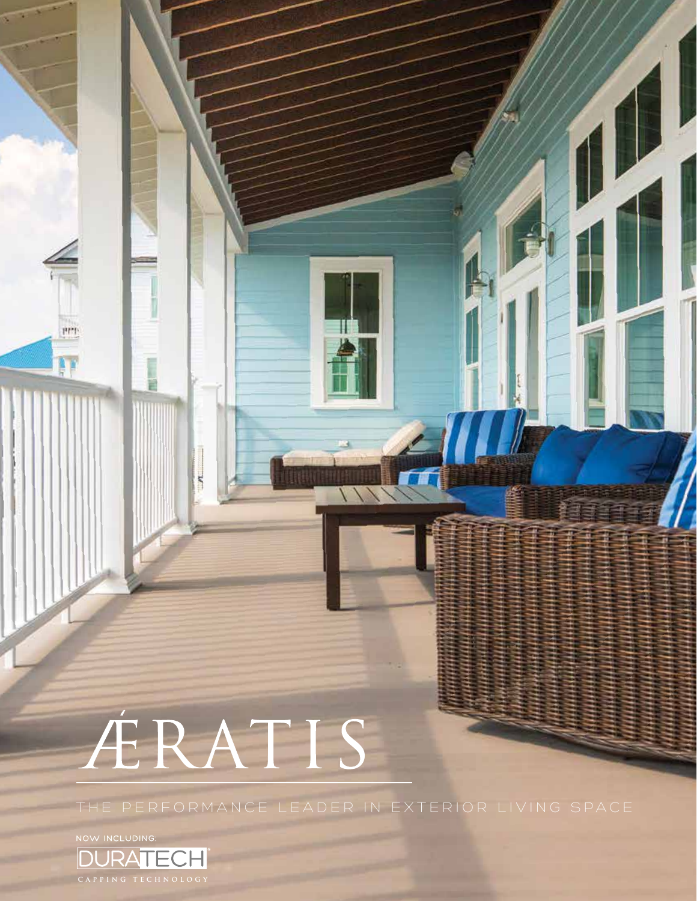# ÉRATIS

THE PERFORMANCE LEADER IN EXTERIOR LIVING SPACE

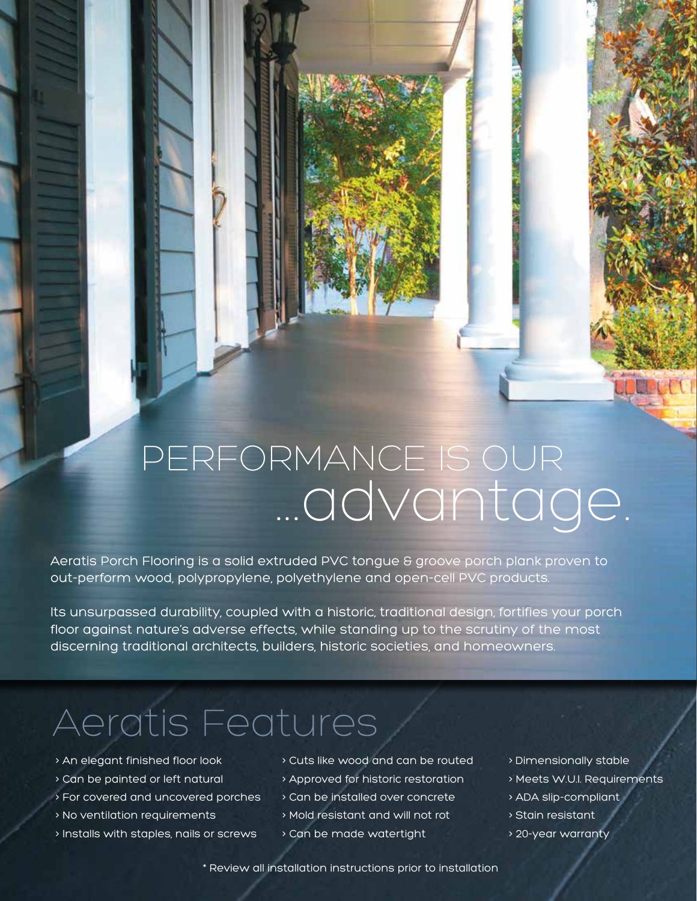### PERFORMANCE IS OUR ...advantage.

Aeratis Porch Flooring is a solid extruded PVC tongue & groove porch plank proven to out-perform wood, polypropylene, polyethylene and open-cell PVC products.

Its unsurpassed durability, coupled with a historic, traditional design, fortifies your porch floor against nature's adverse effects, while standing up to the scrutiny of the most discerning traditional architects, builders, historic societies, and homeowners.

### Aeratis Features

- > An elegant finished floor look
- > Can be painted or left natural
- > For covered and uncovered porches
- > No ventilation requirements
- > Installs with staples, nails or screws

> Cuts like wood and can be routed

- > Approved for historic restoration
- > Can be installed over concrete
- > Mold resistant and will not rot
- > Can be made watertight
- > Dimensionally stable
- > Meets W.U.I. Requirements
- > ADA slip-compliant
- > Stain resistant
- > 20-year warranty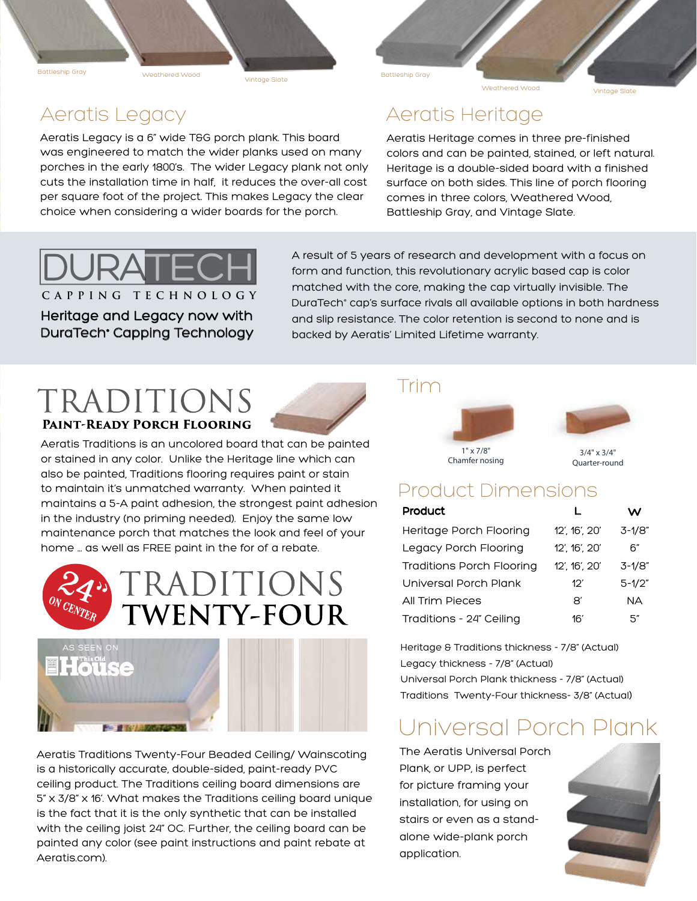Battleship Gray

Vintage Slate Weathered Wood

#### Aeratis Legacy

Aeratis Legacy is a 6" wide T&G porch plank. This board was engineered to match the wider planks used on many porches in the early 1800's. The wider Legacy plank not only cuts the installation time in half, it reduces the over-all cost per square foot of the project. This makes Legacy the clear choice when considering a wider boards for the porch.

#### Aeratis Heritage

Battleship Gray

Aeratis Heritage comes in three pre-finished colors and can be painted, stained, or left natural. Heritage is a double-sided board with a finished surface on both sides. This line of porch flooring comes in three colors, Weathered Wood, Battleship Gray, and Vintage Slate.



Heritage and Legacy now with DuraTech<sup>.</sup> Capping Technology

A result of 5 years of research and development with a focus on form and function, this revolutionary acrylic based cap is color matched with the core, making the cap virtually invisible. The DuraTech® cap's surface rivals all available options in both hardness and slip resistance. The color retention is second to none and is backed by Aeratis' Limited Lifetime warranty.

#### TRADITIONS **PAINT-READY PORCH FLOORING**

Aeratis Traditions is an uncolored board that can be painted or stained in any color. Unlike the Heritage line which can also be painted, Traditions flooring requires paint or stain to maintain it's unmatched warranty. When painted it maintains a 5-A paint adhesion, the strongest paint adhesion in the industry (no priming needed). Enjoy the same low maintenance porch that matches the look and feel of your home ... as well as FREE paint in the for of a rebate.



Aeratis Traditions Twenty-Four Beaded Ceiling/ Wainscoting is a historically accurate, double-sided, paint-ready PVC ceiling product. The Traditions ceiling board dimensions are 5" x 3/8" x 16'. What makes the Traditions ceiling board unique is the fact that it is the only synthetic that can be installed with the ceiling joist 24" OC. Further, the ceiling board can be painted any color (see paint instructions and paint rebate at Aeratis.com).

#### Trim





#### Product Dimensions

| <b>Product</b>                   |                       | w           |
|----------------------------------|-----------------------|-------------|
| Heritage Porch Flooring          | 12', 16', 20'         | $3 - 1/8$ " |
| Legacy Porch Flooring            | $12'$ , $16'$ , $20'$ | 6″          |
| <b>Traditions Porch Flooring</b> | 12', 16', 20'         | $3 - 1/8$ " |
| Universal Porch Plank            | 12'                   | $5 - 1/2"$  |
| All Trim Pieces                  | 81                    | NA.         |
| Traditions - 24" Ceiling         | 16'                   | 5″          |

 Heritage & Traditions thickness - 7/8" (Actual) Legacy thickness - 7/8" (Actual) Universal Porch Plank thickness - 7/8" (Actual) Traditions Twenty-Four thickness- 3/8" (Actual)

### Universal Porch Plank

The Aeratis Universal Porch Plank, or UPP, is perfect for picture framing your installation, for using on stairs or even as a standalone wide-plank porch application.



Weathered Wood **Vintage Slate**